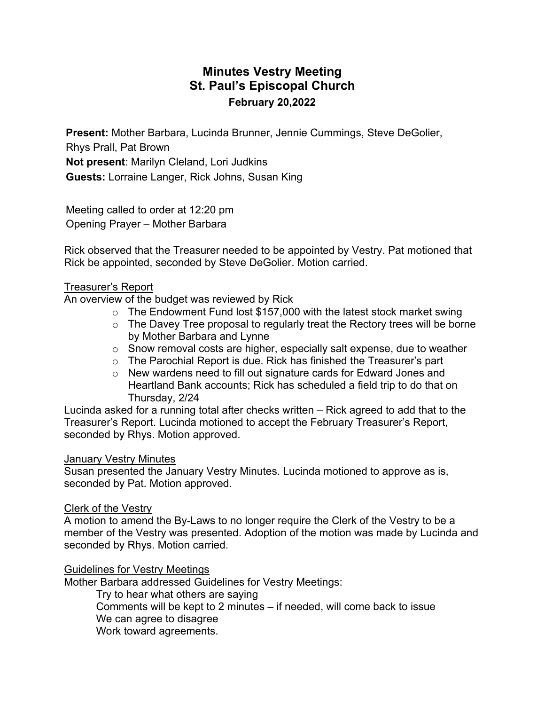# **Minutes Vestry Meeting St. Paul's Episcopal Church February 20,2022**

**Present:** Mother Barbara, Lucinda Brunner, Jennie Cummings, Steve DeGolier, Rhys Prall, Pat Brown **Not present**: Marilyn Cleland, Lori Judkins **Guests:** Lorraine Langer, Rick Johns, Susan King

Meeting called to order at 12:20 pm Opening Prayer – Mother Barbara

Rick observed that the Treasurer needed to be appointed by Vestry. Pat motioned that Rick be appointed, seconded by Steve DeGolier. Motion carried.

#### Treasurer's Report

An overview of the budget was reviewed by Rick

- $\circ$  The Endowment Fund lost \$157,000 with the latest stock market swing
- o The Davey Tree proposal to regularly treat the Rectory trees will be borne by Mother Barbara and Lynne
- o Snow removal costs are higher, especially salt expense, due to weather
- o The Parochial Report is due. Rick has finished the Treasurer's part
- o New wardens need to fill out signature cards for Edward Jones and Heartland Bank accounts; Rick has scheduled a field trip to do that on Thursday, 2/24

Lucinda asked for a running total after checks written – Rick agreed to add that to the Treasurer's Report. Lucinda motioned to accept the February Treasurer's Report, seconded by Rhys. Motion approved.

#### January Vestry Minutes

Susan presented the January Vestry Minutes. Lucinda motioned to approve as is, seconded by Pat. Motion approved.

#### Clerk of the Vestry

A motion to amend the By-Laws to no longer require the Clerk of the Vestry to be a member of the Vestry was presented. Adoption of the motion was made by Lucinda and seconded by Rhys. Motion carried.

Guidelines for Vestry Meetings

Mother Barbara addressed Guidelines for Vestry Meetings:

Try to hear what others are saying Comments will be kept to 2 minutes – if needed, will come back to issue We can agree to disagree Work toward agreements.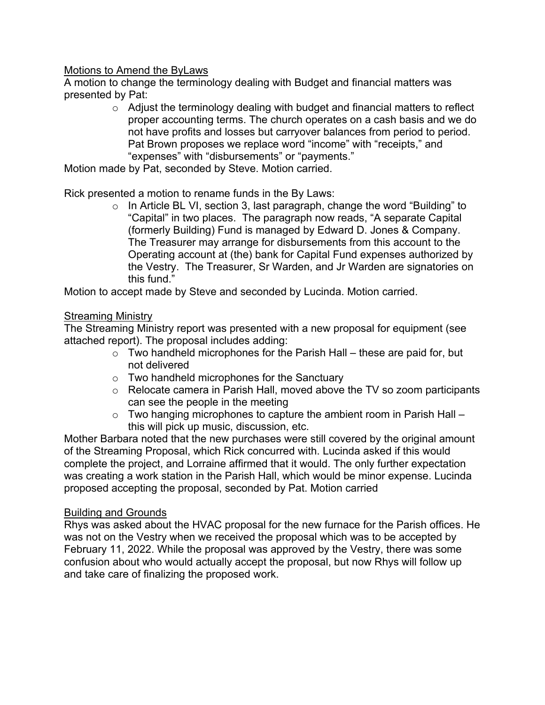## Motions to Amend the ByLaws

A motion to change the terminology dealing with Budget and financial matters was presented by Pat:

> o Adjust the terminology dealing with budget and financial matters to reflect proper accounting terms. The church operates on a cash basis and we do not have profits and losses but carryover balances from period to period. Pat Brown proposes we replace word "income" with "receipts," and "expenses" with "disbursements" or "payments."

Motion made by Pat, seconded by Steve. Motion carried.

Rick presented a motion to rename funds in the By Laws:

o In Article BL VI, section 3, last paragraph, change the word "Building" to "Capital" in two places. The paragraph now reads, "A separate Capital (formerly Building) Fund is managed by Edward D. Jones & Company. The Treasurer may arrange for disbursements from this account to the Operating account at (the) bank for Capital Fund expenses authorized by the Vestry. The Treasurer, Sr Warden, and Jr Warden are signatories on this fund."

Motion to accept made by Steve and seconded by Lucinda. Motion carried.

## **Streaming Ministry**

The Streaming Ministry report was presented with a new proposal for equipment (see attached report). The proposal includes adding:

- $\circ$  Two handheld microphones for the Parish Hall these are paid for, but not delivered
- o Two handheld microphones for the Sanctuary
- o Relocate camera in Parish Hall, moved above the TV so zoom participants can see the people in the meeting
- $\circ$  Two hanging microphones to capture the ambient room in Parish Hall this will pick up music, discussion, etc.

Mother Barbara noted that the new purchases were still covered by the original amount of the Streaming Proposal, which Rick concurred with. Lucinda asked if this would complete the project, and Lorraine affirmed that it would. The only further expectation was creating a work station in the Parish Hall, which would be minor expense. Lucinda proposed accepting the proposal, seconded by Pat. Motion carried

### Building and Grounds

Rhys was asked about the HVAC proposal for the new furnace for the Parish offices. He was not on the Vestry when we received the proposal which was to be accepted by February 11, 2022. While the proposal was approved by the Vestry, there was some confusion about who would actually accept the proposal, but now Rhys will follow up and take care of finalizing the proposed work.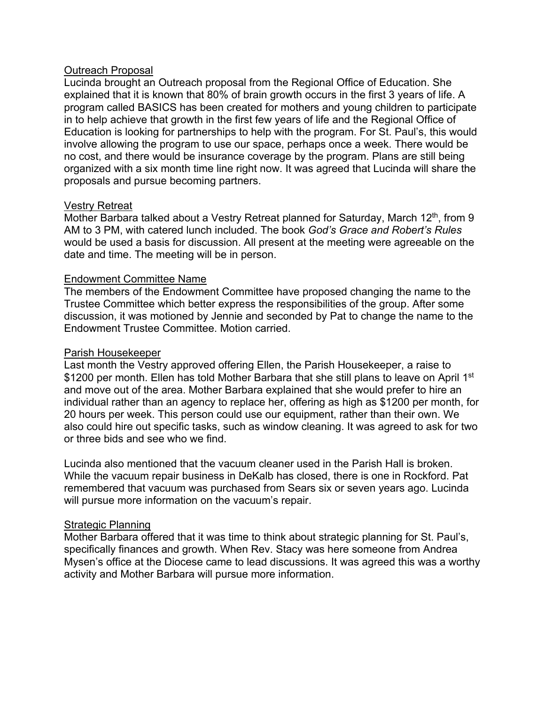### Outreach Proposal

Lucinda brought an Outreach proposal from the Regional Office of Education. She explained that it is known that 80% of brain growth occurs in the first 3 years of life. A program called BASICS has been created for mothers and young children to participate in to help achieve that growth in the first few years of life and the Regional Office of Education is looking for partnerships to help with the program. For St. Paul's, this would involve allowing the program to use our space, perhaps once a week. There would be no cost, and there would be insurance coverage by the program. Plans are still being organized with a six month time line right now. It was agreed that Lucinda will share the proposals and pursue becoming partners.

#### Vestry Retreat

Mother Barbara talked about a Vestry Retreat planned for Saturday, March 12<sup>th</sup>, from 9 AM to 3 PM, with catered lunch included. The book *God's Grace and Robert's Rules*  would be used a basis for discussion. All present at the meeting were agreeable on the date and time. The meeting will be in person.

#### Endowment Committee Name

The members of the Endowment Committee have proposed changing the name to the Trustee Committee which better express the responsibilities of the group. After some discussion, it was motioned by Jennie and seconded by Pat to change the name to the Endowment Trustee Committee. Motion carried.

#### Parish Housekeeper

Last month the Vestry approved offering Ellen, the Parish Housekeeper, a raise to \$1200 per month. Ellen has told Mother Barbara that she still plans to leave on April 1<sup>st</sup> and move out of the area. Mother Barbara explained that she would prefer to hire an individual rather than an agency to replace her, offering as high as \$1200 per month, for 20 hours per week. This person could use our equipment, rather than their own. We also could hire out specific tasks, such as window cleaning. It was agreed to ask for two or three bids and see who we find.

Lucinda also mentioned that the vacuum cleaner used in the Parish Hall is broken. While the vacuum repair business in DeKalb has closed, there is one in Rockford. Pat remembered that vacuum was purchased from Sears six or seven years ago. Lucinda will pursue more information on the vacuum's repair.

#### Strategic Planning

Mother Barbara offered that it was time to think about strategic planning for St. Paul's, specifically finances and growth. When Rev. Stacy was here someone from Andrea Mysen's office at the Diocese came to lead discussions. It was agreed this was a worthy activity and Mother Barbara will pursue more information.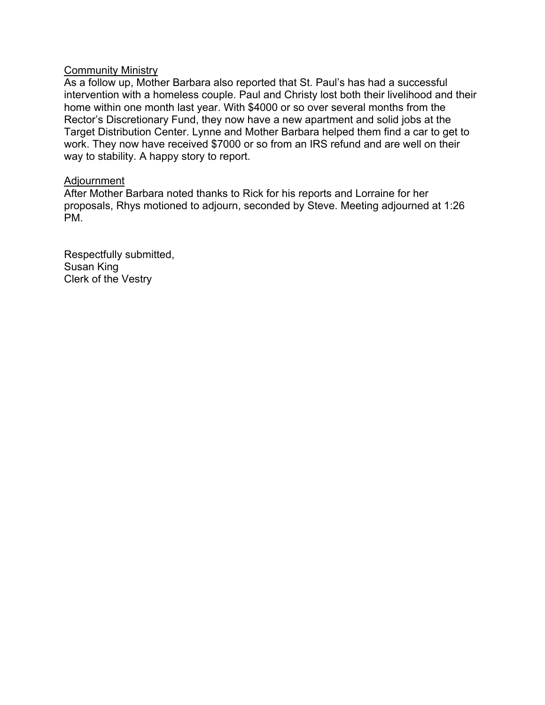#### **Community Ministry**

As a follow up, Mother Barbara also reported that St. Paul's has had a successful intervention with a homeless couple. Paul and Christy lost both their livelihood and their home within one month last year. With \$4000 or so over several months from the Rector's Discretionary Fund, they now have a new apartment and solid jobs at the Target Distribution Center. Lynne and Mother Barbara helped them find a car to get to work. They now have received \$7000 or so from an IRS refund and are well on their way to stability. A happy story to report.

#### Adjournment

After Mother Barbara noted thanks to Rick for his reports and Lorraine for her proposals, Rhys motioned to adjourn, seconded by Steve. Meeting adjourned at 1:26 PM.

Respectfully submitted, Susan King Clerk of the Vestry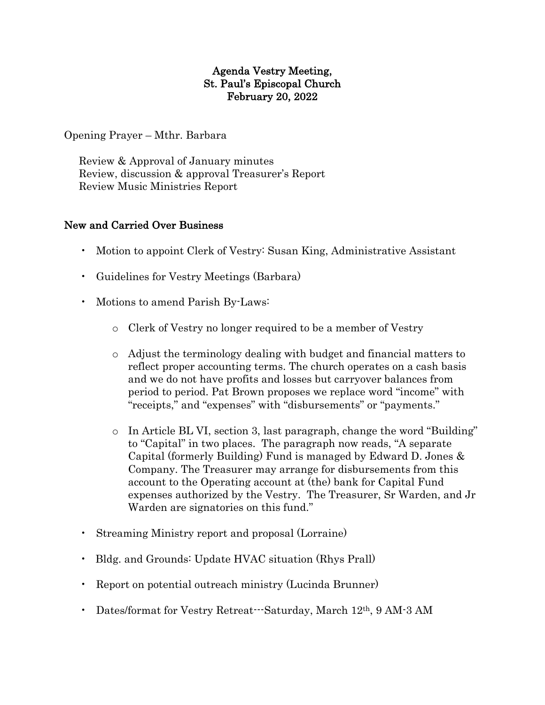## Agenda Vestry Meeting, St. Paul's Episcopal Church February 20, 2022

Opening Prayer – Mthr. Barbara

 Review & Approval of January minutes Review, discussion & approval Treasurer's Report Review Music Ministries Report

## New and Carried Over Business

- Motion to appoint Clerk of Vestry: Susan King, Administrative Assistant
- Guidelines for Vestry Meetings (Barbara)
- Motions to amend Parish By-Laws:
	- o Clerk of Vestry no longer required to be a member of Vestry
	- o Adjust the terminology dealing with budget and financial matters to reflect proper accounting terms. The church operates on a cash basis and we do not have profits and losses but carryover balances from period to period. Pat Brown proposes we replace word "income" with "receipts," and "expenses" with "disbursements" or "payments."
	- o In Article BL VI, section 3, last paragraph, change the word "Building" to "Capital" in two places. The paragraph now reads, "A separate Capital (formerly Building) Fund is managed by Edward D. Jones & Company. The Treasurer may arrange for disbursements from this account to the Operating account at (the) bank for Capital Fund expenses authorized by the Vestry. The Treasurer, Sr Warden, and Jr Warden are signatories on this fund."
- Streaming Ministry report and proposal (Lorraine)
- Bldg. and Grounds: Update HVAC situation (Rhys Prall)
- Report on potential outreach ministry (Lucinda Brunner)
- Dates/format for Vestry Retreat—Saturday, March 12<sup>th</sup>, 9 AM-3 AM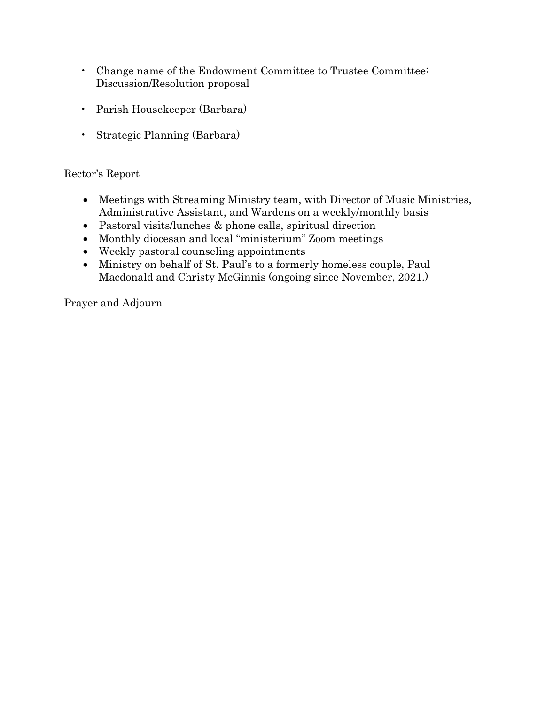- Change name of the Endowment Committee to Trustee Committee: Discussion/Resolution proposal
- Parish Housekeeper (Barbara)
- Strategic Planning (Barbara)

## Rector's Report

- Meetings with Streaming Ministry team, with Director of Music Ministries, Administrative Assistant, and Wardens on a weekly/monthly basis
- Pastoral visits/lunches & phone calls, spiritual direction
- Monthly diocesan and local "ministerium" Zoom meetings
- Weekly pastoral counseling appointments
- Ministry on behalf of St. Paul's to a formerly homeless couple, Paul Macdonald and Christy McGinnis (ongoing since November, 2021.)

Prayer and Adjourn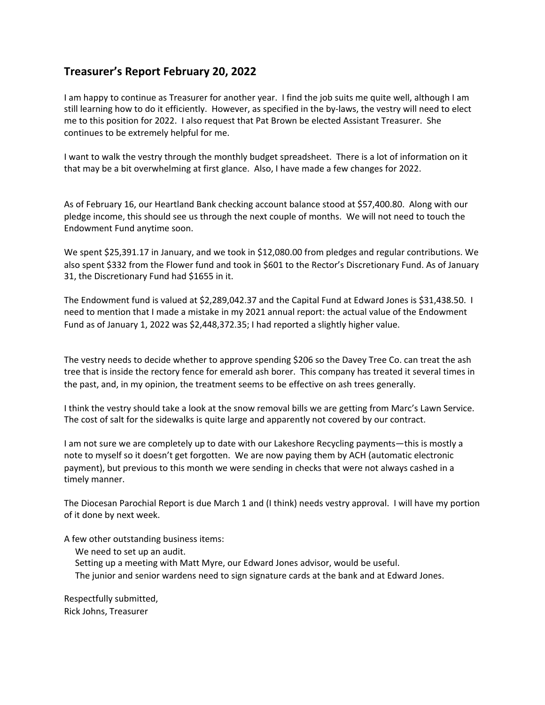## **Treasurer's Report February 20, 2022**

I am happy to continue as Treasurer for another year. I find the job suits me quite well, although I am still learning how to do it efficiently. However, as specified in the by-laws, the vestry will need to elect me to this position for 2022. I also request that Pat Brown be elected Assistant Treasurer. She continues to be extremely helpful for me.

I want to walk the vestry through the monthly budget spreadsheet. There is a lot of information on it that may be a bit overwhelming at first glance. Also, I have made a few changes for 2022.

As of February 16, our Heartland Bank checking account balance stood at \$57,400.80. Along with our pledge income, this should see us through the next couple of months. We will not need to touch the Endowment Fund anytime soon.

We spent \$25,391.17 in January, and we took in \$12,080.00 from pledges and regular contributions. We also spent \$332 from the Flower fund and took in \$601 to the Rector's Discretionary Fund. As of January 31, the Discretionary Fund had \$1655 in it.

The Endowment fund is valued at \$2,289,042.37 and the Capital Fund at Edward Jones is \$31,438.50. I need to mention that I made a mistake in my 2021 annual report: the actual value of the Endowment Fund as of January 1, 2022 was \$2,448,372.35; I had reported a slightly higher value.

The vestry needs to decide whether to approve spending \$206 so the Davey Tree Co. can treat the ash tree that is inside the rectory fence for emerald ash borer. This company has treated it several times in the past, and, in my opinion, the treatment seems to be effective on ash trees generally.

I think the vestry should take a look at the snow removal bills we are getting from Marc's Lawn Service. The cost of salt for the sidewalks is quite large and apparently not covered by our contract.

I am not sure we are completely up to date with our Lakeshore Recycling payments—this is mostly a note to myself so it doesn't get forgotten. We are now paying them by ACH (automatic electronic payment), but previous to this month we were sending in checks that were not always cashed in a timely manner.

The Diocesan Parochial Report is due March 1 and (I think) needs vestry approval. I will have my portion of it done by next week.

A few other outstanding business items:

- We need to set up an audit.
- Setting up a meeting with Matt Myre, our Edward Jones advisor, would be useful.
- The junior and senior wardens need to sign signature cards at the bank and at Edward Jones.

Respectfully submitted, Rick Johns, Treasurer